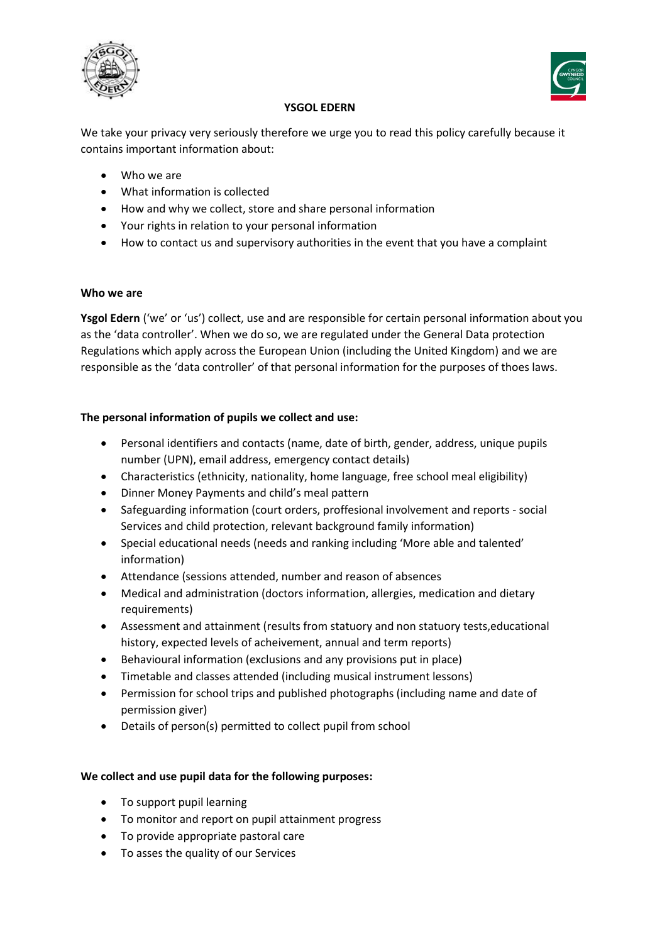



### **YSGOL EDERN**

We take your privacy very seriously therefore we urge you to read this policy carefully because it contains important information about:

- Who we are
- What information is collected
- How and why we collect, store and share personal information
- Your rights in relation to your personal information
- How to contact us and supervisory authorities in the event that you have a complaint

#### **Who we are**

**Ysgol Edern** ('we' or 'us') collect, use and are responsible for certain personal information about you as the 'data controller'. When we do so, we are regulated under the General Data protection Regulations which apply across the European Union (including the United Kingdom) and we are responsible as the 'data controller' of that personal information for the purposes of thoes laws.

# **The personal information of pupils we collect and use:**

- Personal identifiers and contacts (name, date of birth, gender, address, unique pupils number (UPN), email address, emergency contact details)
- Characteristics (ethnicity, nationality, home language, free school meal eligibility)
- Dinner Money Payments and child's meal pattern
- Safeguarding information (court orders, proffesional involvement and reports social Services and child protection, relevant background family information)
- Special educational needs (needs and ranking including 'More able and talented' information)
- Attendance (sessions attended, number and reason of absences
- Medical and administration (doctors information, allergies, medication and dietary requirements)
- Assessment and attainment (results from statuory and non statuory tests,educational history, expected levels of acheivement, annual and term reports)
- Behavioural information (exclusions and any provisions put in place)
- Timetable and classes attended (including musical instrument lessons)
- Permission for school trips and published photographs (including name and date of permission giver)
- Details of person(s) permitted to collect pupil from school

# **We collect and use pupil data for the following purposes:**

- To support pupil learning
- To monitor and report on pupil attainment progress
- To provide appropriate pastoral care
- To asses the quality of our Services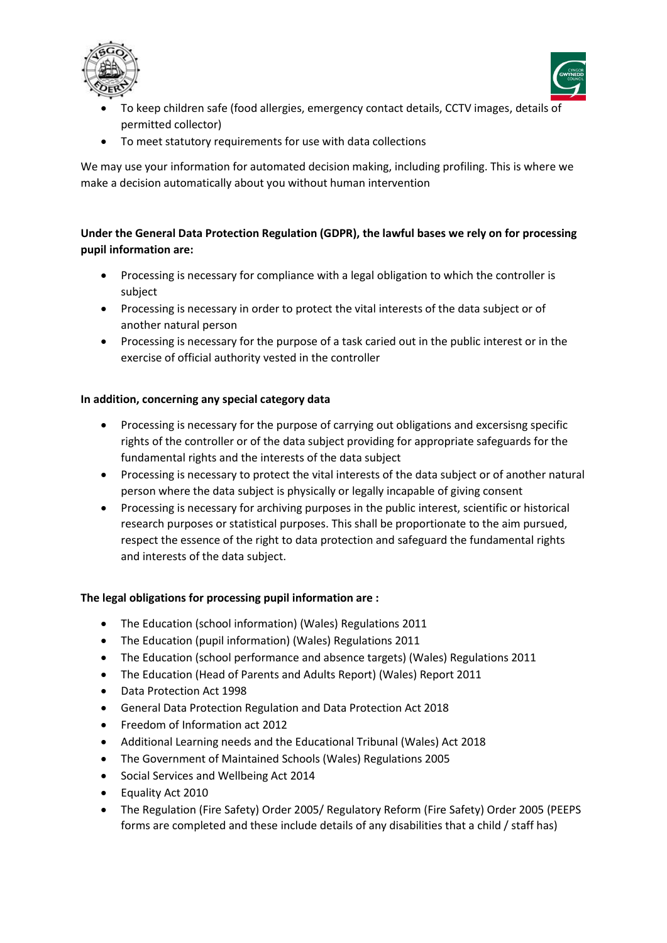



- To keep children safe (food allergies, emergency contact details, CCTV images, details of permitted collector)
- To meet statutory requirements for use with data collections

We may use your information for automated decision making, including profiling. This is where we make a decision automatically about you without human intervention

# **Under the General Data Protection Regulation (GDPR), the lawful bases we rely on for processing pupil information are:**

- Processing is necessary for compliance with a legal obligation to which the controller is subject
- Processing is necessary in order to protect the vital interests of the data subject or of another natural person
- Processing is necessary for the purpose of a task caried out in the public interest or in the exercise of official authority vested in the controller

# **In addition, concerning any special category data**

- Processing is necessary for the purpose of carrying out obligations and excersisng specific rights of the controller or of the data subject providing for appropriate safeguards for the fundamental rights and the interests of the data subject
- Processing is necessary to protect the vital interests of the data subject or of another natural person where the data subject is physically or legally incapable of giving consent
- Processing is necessary for archiving purposes in the public interest, scientific or historical research purposes or statistical purposes. This shall be proportionate to the aim pursued, respect the essence of the right to data protection and safeguard the fundamental rights and interests of the data subject.

# **The legal obligations for processing pupil information are :**

- The Education (school information) (Wales) Regulations 2011
- The Education (pupil information) (Wales) Regulations 2011
- The Education (school performance and absence targets) (Wales) Regulations 2011
- The Education (Head of Parents and Adults Report) (Wales) Report 2011
- Data Protection Act 1998
- General Data Protection Regulation and Data Protection Act 2018
- Freedom of Information act 2012
- Additional Learning needs and the Educational Tribunal (Wales) Act 2018
- The Government of Maintained Schools (Wales) Regulations 2005
- Social Services and Wellbeing Act 2014
- Equality Act 2010
- The Regulation (Fire Safety) Order 2005/ Regulatory Reform (Fire Safety) Order 2005 (PEEPS forms are completed and these include details of any disabilities that a child / staff has)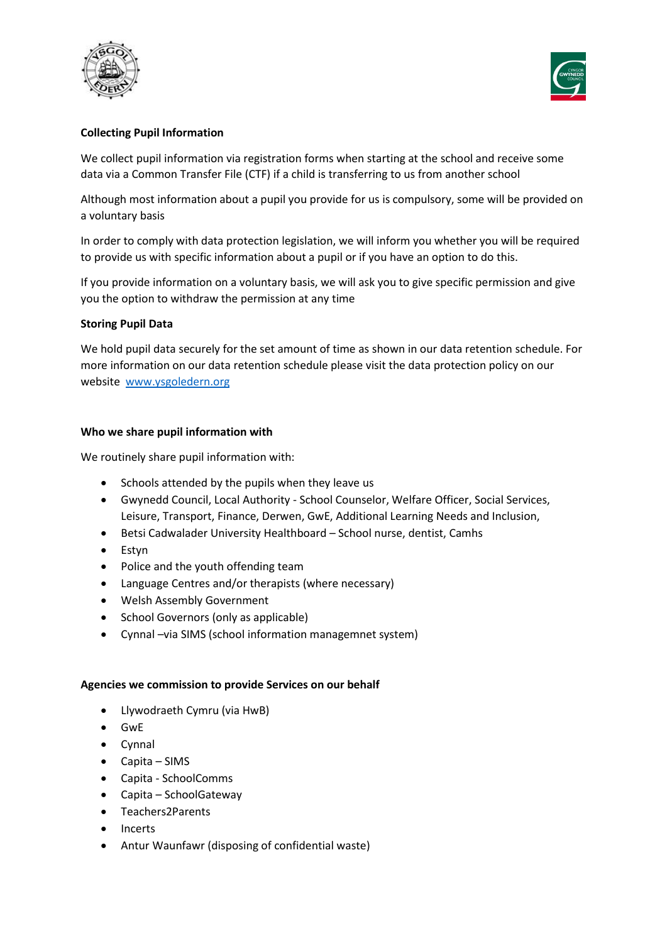



### **Collecting Pupil Information**

We collect pupil information via registration forms when starting at the school and receive some data via a Common Transfer File (CTF) if a child is transferring to us from another school

Although most information about a pupil you provide for us is compulsory, some will be provided on a voluntary basis

In order to comply with data protection legislation, we will inform you whether you will be required to provide us with specific information about a pupil or if you have an option to do this.

If you provide information on a voluntary basis, we will ask you to give specific permission and give you the option to withdraw the permission at any time

#### **Storing Pupil Data**

We hold pupil data securely for the set amount of time as shown in our data retention schedule. For more information on our data retention schedule please visit the data protection policy on our website www.ysgoledern.org

#### **Who we share pupil information with**

We routinely share pupil information with:

- Schools attended by the pupils when they leave us
- Gwynedd Council, Local Authority School Counselor, Welfare Officer, Social Services, Leisure, Transport, Finance, Derwen, GwE, Additional Learning Needs and Inclusion,
- Betsi Cadwalader University Healthboard School nurse, dentist, Camhs
- Estyn
- Police and the youth offending team
- Language Centres and/or therapists (where necessary)
- Welsh Assembly Government
- School Governors (only as applicable)
- Cynnal –via SIMS (school information managemnet system)

#### **Agencies we commission to provide Services on our behalf**

- Llywodraeth Cymru (via HwB)
- GwE
- Cynnal
- Capita SIMS
- Capita SchoolComms
- Capita SchoolGateway
- Teachers2Parents
- Incerts
- Antur Waunfawr (disposing of confidential waste)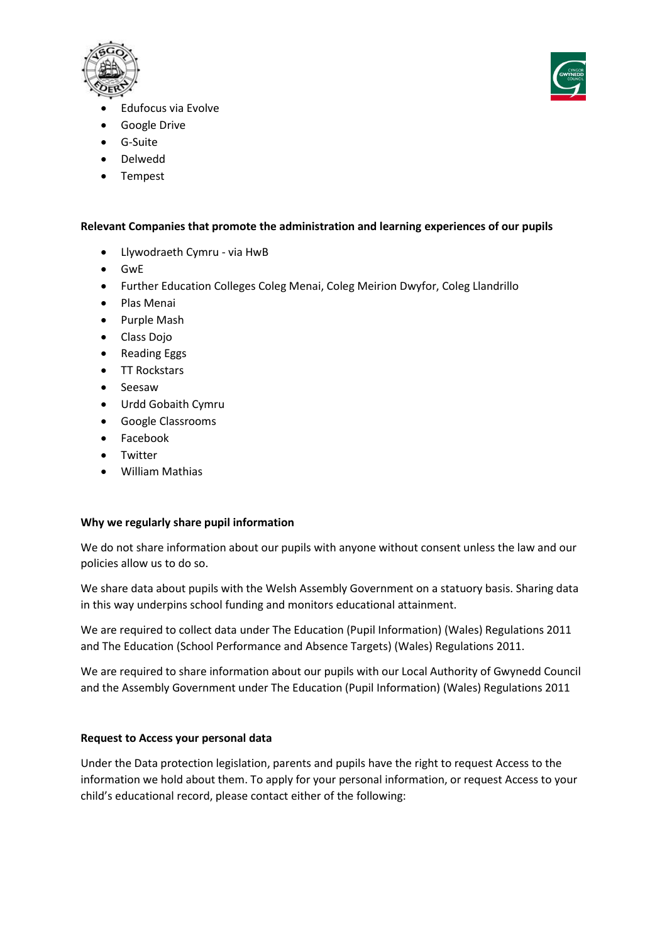



- Edufocus via Evolve
- Google Drive
- G-Suite
- Delwedd
- Tempest

### **Relevant Companies that promote the administration and learning experiences of our pupils**

- Llywodraeth Cymru via HwB
- GwE
- Further Education Colleges Coleg Menai, Coleg Meirion Dwyfor, Coleg Llandrillo
- Plas Menai
- Purple Mash
- Class Dojo
- Reading Eggs
- TT Rockstars
- Seesaw
- Urdd Gobaith Cymru
- Google Classrooms
- Facebook
- Twitter
- William Mathias

# **Why we regularly share pupil information**

We do not share information about our pupils with anyone without consent unless the law and our policies allow us to do so.

We share data about pupils with the Welsh Assembly Government on a statuory basis. Sharing data in this way underpins school funding and monitors educational attainment.

We are required to collect data under The Education (Pupil Information) (Wales) Regulations 2011 and The Education (School Performance and Absence Targets) (Wales) Regulations 2011.

We are required to share information about our pupils with our Local Authority of Gwynedd Council and the Assembly Government under The Education (Pupil Information) (Wales) Regulations 2011

# **Request to Access your personal data**

Under the Data protection legislation, parents and pupils have the right to request Access to the information we hold about them. To apply for your personal information, or request Access to your child's educational record, please contact either of the following: